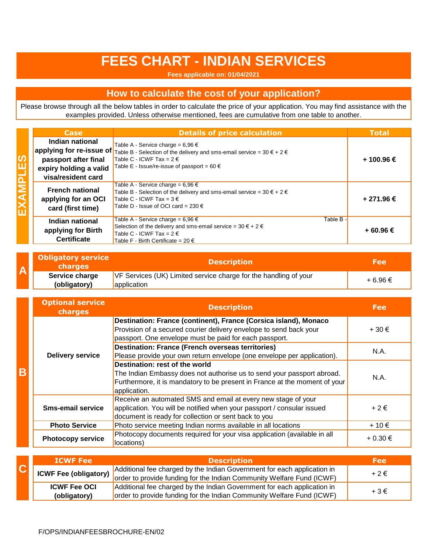## **FEES CHART - INDIAN SERVICES**

**Fees applicable on: 01/04/2021**

## **How to calculate the cost of your application?**

Please browse through all the below tables in order to calculate the price of your application. You may find assistance with the examples provided. Unless otherwise mentioned, fees are cumulative from one table to another.

|  | <b>Case</b>                                                                                                         | <b>Details of price calculation</b>                                                                                                                                                                              | <b>Total</b> |
|--|---------------------------------------------------------------------------------------------------------------------|------------------------------------------------------------------------------------------------------------------------------------------------------------------------------------------------------------------|--------------|
|  | Indian national<br>applying for re-issue of<br>passport after final<br>expiry holding a valid<br>visa/resident card | Table A - Service charge = 6,96 €<br>Table B - Selection of the delivery and sms-email service = 30 $\epsilon$ + 2 $\epsilon$<br>Table C - ICWF Tax = $2 \in$<br>Table E - Issue/re-issue of passport = $60 \in$ | + 100.96 €   |
|  | <b>French national</b><br>applying for an OCI<br>card (first time)                                                  | Table A - Service charge = 6,96 €<br>Table B - Selection of the delivery and sms-email service = $30 \epsilon + 2 \epsilon$<br>Table C - ICWF Tax = $3 \notin$<br>Table D - Issue of OCI card = 230 €            | + 271.96 €   |
|  | Indian national<br>applying for Birth<br><b>Certificate</b>                                                         | Table A - Service charge = $6.96 \in$<br>Table B -<br>Selection of the delivery and sms-email service = $30 \epsilon + 2 \epsilon$<br>Table C - ICWF Tax = $2 \in$<br>Table F - Birth Certificate = 20 €         | + 60.96 €    |

|  | <b>Obligatory service</b><br><b>charges</b> | <b>Description</b>                                                                     | <b>Fee</b> |
|--|---------------------------------------------|----------------------------------------------------------------------------------------|------------|
|  | Service charge<br>(obligatory)              | VF Services (UK) Limited service charge for the handling of your<br><b>application</b> | + 6.96 €   |

|   | <b>Optional service</b><br>charges | <b>Description</b>                                                                                                                                                                                     | Fee           |
|---|------------------------------------|--------------------------------------------------------------------------------------------------------------------------------------------------------------------------------------------------------|---------------|
|   | <b>Delivery service</b>            | Destination: France (continent), France (Corsica island), Monaco<br>Provision of a secured courier delivery envelope to send back your<br>passport. One envelope must be paid for each passport.       | $+30 \in$     |
|   |                                    | <b>Destination: France (French overseas territories)</b><br>Please provide your own return envelope (one envelope per application).                                                                    | N.A.          |
| B |                                    | Destination: rest of the world<br>The Indian Embassy does not authorise us to send your passport abroad.<br>Furthermore, it is mandatory to be present in France at the moment of your<br>application. | N.A.          |
|   | <b>Sms-email service</b>           | Receive an automated SMS and email at every new stage of your<br>application. You will be notified when your passport / consular issued<br>document is ready for collection or sent back to you        | $+2 \epsilon$ |
|   | <b>Photo Service</b>               | Photo service meeting Indian norms available in all locations                                                                                                                                          | $+10 \in$     |
|   | <b>Photocopy service</b>           | Photocopy documents required for your visa application (available in all<br>locations)                                                                                                                 | + 0.30 €      |

| <b>ICWF Fee</b>              | <b>Description</b>                                                                                                                               | <b>Fee</b>    |
|------------------------------|--------------------------------------------------------------------------------------------------------------------------------------------------|---------------|
| <b>ICWF Fee (obligatory)</b> | Additional fee charged by the Indian Government for each application in<br>order to provide funding for the Indian Community Welfare Fund (ICWF) | $+2 \epsilon$ |
| <b>ICWF Fee OCI</b>          | Additional fee charged by the Indian Government for each application in                                                                          | $+3 \in$      |
| (obligatory)                 | order to provide funding for the Indian Community Welfare Fund (ICWF)                                                                            |               |

**EXAMPLES**